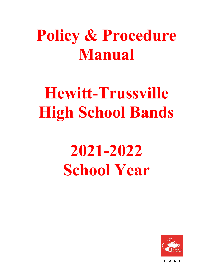# **Policy & Procedure Manual**

# **Hewitt-Trussville High School Bands**

# **2021-2022 School Year**

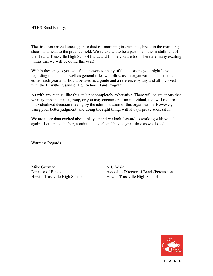HTHS Band Family,

The time has arrived once again to dust off marching instruments, break in the marching shoes, and head to the practice field. We're excited to be a part of another installment of the Hewitt-Trussville High School Band, and I hope you are too! There are many exciting things that we will be doing this year!

Within these pages you will find answers to many of the questions you might have regarding the band, as well as general rules we follow as an organization. This manual is edited each year and should be used as a guide and a reference by any and all involved with the Hewitt-Trussville High School Band Program.

As with any manual like this, it is not completely exhaustive. There will be situations that we may encounter as a group, or you may encounter as an individual, that will require individualized decision making by the administration of this organization. However, using your better judgment, and doing the right thing, will always prove successful.

We are more than excited about this year and we look forward to working with you all again! Let's raise the bar, continue to excel, and have a great time as we do so!

Warmest Regards,

Mike Guzman A.J. Adair Hewitt-Trussville High School Hewitt-Trussville High School

Director of Bands Associate Director of Bands/Percussion

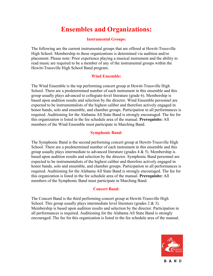# **Ensembles and Organizations:**

#### **Instrumental Groups:**

The following are the current instrumental groups that are offered at Hewitt-Trussville High School. Membership in these organizations is determined via audition and/or placement. Please note: Prior experience playing a musical instrument and the ability to read music are required to be a member of any of the instrumental groups within the Hewitt-Trussville High School Band program.

#### **Wind Ensemble:**

The Wind Ensemble is the top performing concert group at Hewitt-Trussville High School. There are a predetermined number of each instrument in this ensemble and this group usually plays advanced to collegiate-level literature (grade 6). Membership is based upon audition results and selection by the director. Wind Ensemble personnel are expected to be instrumentalists of the highest caliber and therefore actively engaged in honor bands, solo and ensemble, and chamber groups. Participation in all performances is required. Auditioning for the Alabama All State Band is strongly encouraged. The fee for this organization is listed in the fee schedule area of the manual. **Prerequisite:** All members of the Wind Ensemble must participate in Marching Band.

#### **Symphonic Band:**

The Symphonic Band is the second performing concert group at Hewitt-Trussville High School. There are a predetermined number of each instrument in this ensemble and this group usually plays intermediate to advanced literature (grades  $4 \& 5$ ). Membership is based upon audition results and selection by the director. Symphonic Band personnel are expected to be instrumentalists of the highest caliber and therefore actively engaged in honor bands, solo and ensemble, and chamber groups. Participation in all performances is required. Auditioning for the Alabama All State Band is strongly encouraged. The fee for this organization is listed in the fee schedule area of the manual. **Prerequisite:** All members of the Symphonic Band must participate in Marching Band.

# **Concert Band:**

The Concert Band is the third performing concert group at Hewitt-Trussville High School. This group usually plays intermediate level literature (grades  $2 \& 3$ ). Membership is based upon audition results and selection by the director. Participation in all performances is required. Auditioning for the Alabama All State Band is strongly encouraged. The fee for this organization is listed in the fee schedule area of the manual.

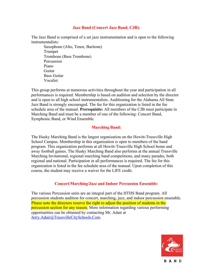#### **Jazz Band (Concert Jazz Band, CJB):**

The Jazz Band is comprised of a set jazz instrumentation and is open to the following instrumentalists:

Saxophone (Alto, Tenor, Baritone) Trumpet Trombone (Bass Trombone) **Percussion** Piano Guitar Bass Guitar Vocalist

This group performs at numerous activities throughout the year and participation in all performances is required. Membership is based on audition and selection by the director and is open to all high school instrumentalists. Auditioning for the Alabama All State Jazz Band is strongly encouraged. The fee for this organization is listed in the fee schedule area of the manual. **Prerequisite:** All members of the CJB must participate in Marching Band and must be a member of one of the following: Concert Band, Symphonic Band, or Wind Ensemble.

#### **Marching Band:**

The Husky Marching Band is the largest organization on the Hewitt-Trussville High School Campus. Membership in this organization is open to members of the band program. This organization performs at all Hewitt-Trussville High School home and away football games. The Husky Marching Band also performs at the annual Trussville Marching Invitational, regional marching band competitions, and many parades, both regional and national. Participation in all performances is required. The fee for this organization is listed in the fee schedule area of the manual. Upon completion of this course, the student may receive a waiver for the LIFE credit.

#### **Concert/Marching/Jazz and Indoor Percussion Ensemble:**

The various Percussion units are an integral part of the HTHS Band program. All percussion students audition for concert, marching, jazz, and indoor percussion ensemble. Please note the directors reserve the right to adjust the position of students in the percussion section for any reason. More information regarding various performing opportunities can be obtained by contacting Mr. Adair at Jerry.Adair@TrussvilleCitySchools.Com.

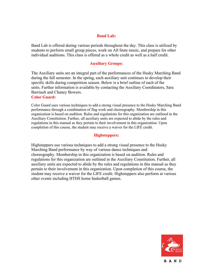#### **Band Lab:**

Band Lab is offered during various periods throughout the day. This class is utilized by students to perform small group pieces, work on All State music, and prepare for other individual auditions. This class is offered as a whole credit as well as a half credit.

#### **Auxiliary Groups:**

The Auxiliary units are an integral part of the performances of the Husky Marching Band during the fall semester. In the spring, each auxiliary unit continues to develop their specific skills during competition season. Below is a brief outline of each of the units. Further information is available by contacting the Auxiliary Coordinators, Sara Barriault and Chaney Bowers.

#### **Color Guard:**

Color Guard uses various techniques to add a strong visual presence to the Husky Marching Band performance through a combination of flag work and choreography. Membership in this organization is based on audition. Rules and regulations for this organization are outlined in the Auxiliary Constitution. Further, all auxiliary units are expected to abide by the rules and regulations in this manual as they pertain to their involvement in this organization. Upon completion of this course, the student may receive a waiver for the LIFE credit.

#### **Highsteppers:**

Highsteppers use various techniques to add a strong visual presence to the Husky Marching Band performance by way of various dance techniques and choreography. Membership in this organization is based on audition. Rules and regulations for this organization are outlined in the Auxiliary Constitution. Further, all auxiliary units are expected to abide by the rules and regulations in this manual as they pertain to their involvement in this organization. Upon completion of this course, the student may receive a waiver for the LIFE credit. Highsteppers also perform at various other events including HTHS home basketball games.

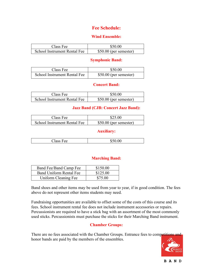# **Fee Schedule:**

# **Wind Ensemble:**

| Class Fee                    | \$50.00                 |
|------------------------------|-------------------------|
| School Instrument Rental Fee | $$50.00$ (per semester) |

# **Symphonic Band:**

| Class Fee                    | \$50.00                 |
|------------------------------|-------------------------|
| School Instrument Rental Fee | $$50.00$ (per semester) |

# **Concert Band:**

| Class Fee                    | \$50.00                 |
|------------------------------|-------------------------|
| School Instrument Rental Fee | $$50.00$ (per semester) |

# **Jazz Band (CJB: Concert Jazz Band):**

| Class Fee                    | \$25.00                 |
|------------------------------|-------------------------|
| School Instrument Rental Fee | $$50.00$ (per semester) |

# **Auxiliary:**

# **Marching Band:**

| Band Fee/Band Camp Fee  | \$150.00 |
|-------------------------|----------|
| Band Uniform Rental Fee | \$125.00 |
| Uniform Cleaning Fee    | \$75.00  |

Band shoes and other items may be used from year to year, if in good condition. The fees above do not represent other items students may need.

Fundraising opportunities are available to offset some of the costs of this course and its fees. School instrument rental fee does not include instrument accessories or repairs. Percussionists are required to have a stick bag with an assortment of the most commonly used sticks. Percussionists must purchase the sticks for their Marching Band instrument.

# **Chamber Groups:**

There are no fees associated with the Chamber Groups. Entrance fees to competitions and honor bands are paid by the members of the ensembles.

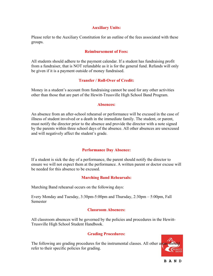# **Auxiliary Units:**

Please refer to the Auxiliary Constitution for an outline of the fees associated with these groups.

#### **Reimbursement of Fees:**

All students should adhere to the payment calendar. If a student has fundraising profit from a fundraiser, that is NOT refundable as it is for the general fund. Refunds will only be given if it is a payment outside of money fundraised.

#### **Transfer / Roll-Over of Credit:**

Money in a student's account from fundraising cannot be used for any other activities other than those that are part of the Hewitt-Trussville High School Band Program.

#### **Absences:**

An absence from an after-school rehearsal or performance will be excused in the case of illness of student involved or a death in the immediate family. The student, or parent, must notify the director prior to the absence and provide the director with a note signed by the parents within three school days of the absence. All other absences are unexcused and will negatively affect the student's grade.

#### **Performance Day Absence:**

If a student is sick the day of a performance, the parent should notify the director to ensure we will not expect them at the performance. A written parent or doctor excuse will be needed for this absence to be excused.

# **Marching Band Rehearsals:**

Marching Band rehearsal occurs on the following days:

Every Monday and Tuesday, 3:30pm-5:00pm and Thursday, 2:30pm – 5:00pm, Fall Semester

# **Classroom Absences:**

All classroom absences will be governed by the policies and procedures in the Hewitt-Trussville High School Student Handbook.

# **Grading Procedures:**

The following are grading procedures for the instrumental classes. All other areas should refer to their specific policies for grading.

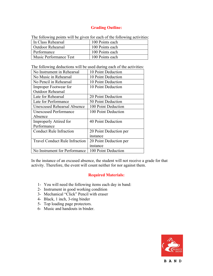# **Grading Outline:**

| The following points will be given for each of the following activities: |                 |
|--------------------------------------------------------------------------|-----------------|
| In Class Rehearsal                                                       | 100 Points each |
| <b>Outdoor Rehearsal</b>                                                 | 100 Points each |
| Performance                                                              | 100 Points each |
| Music Performance Test                                                   | 100 Points each |

The following points will be given for each of the following activities:

The following deductions will be used during each of the activities:

| No Instrument in Rehearsal            | 10 Point Deduction     |
|---------------------------------------|------------------------|
| No Music in Rehearsal                 | 10 Point Deduction     |
| No Pencil in Rehearsal                | 10 Point Deduction     |
| <b>Improper Footwear for</b>          | 10 Point Deduction     |
| <b>Outdoor Rehearsal</b>              |                        |
| Late for Rehearsal                    | 20 Point Deduction     |
| Late for Performance                  | 50 Point Deduction     |
| Unexcused Rehearsal Absence           | 100 Point Deduction    |
| <b>Unexcused Performance</b>          | 100 Point Deduction    |
| Absence                               |                        |
| Improperly Attired for                | 40 Point Deduction     |
| Performance                           |                        |
| <b>Conduct Rule Infraction</b>        | 20 Point Deduction per |
|                                       | instance               |
| <b>Travel Conduct Rule Infraction</b> | 20 Point Deduction per |
|                                       | instance               |
| No Instrument for Performance         | 100 Point Deduction    |

In the instance of an excused absence, the student will not receive a grade for that activity. Therefore, the event will count neither for nor against them.

# **Required Materials:**

- 1- You will need the following items each day in band:
- 2- Instrument in good working condition
- 3- Mechanical "Click" Pencil with eraser
- 4- Black, 1 inch, 3-ring binder
- 5- Top loading page protectors.
- 6- Music and handouts in binder.

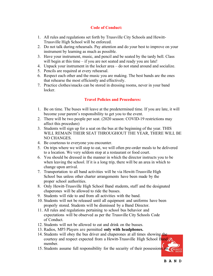# **Code of Conduct:**

- 1. All rules and regulations set forth by Trussville City Schools and Hewitt-Trussville High School will be enforced.
- 2. Do not talk during rehearsals. Pay attention and do your best to improve on your instrument by learning as much as possible.
- 3. Have your instrument, music, and pencil and be seated by the tardy bell. Class will begin at this time – if you are not seated and ready you are late!
- 4. Unpack your instrument in the locker area do not stand around and socialize.
- 5. Pencils are required at every rehearsal.
- 6. Respect each other and the music you are making. The best bands are the ones that rehearse the most efficiently and effectively.
- 7. Practice clothes/snacks can be stored in dressing rooms, never in your band locker.

# **Travel Policies and Procedures:**

- 1. Be on time. The buses will leave at the predetermined time. If you are late, it will become your parent's responsibility to get you to the event.
- 2. There will be two people per seat. (2020 season: COVID-19 restrictions may affect this procedure)
- 3. Students will sign up for a seat on the bus at the beginning of the year. THIS WILL REMAIN THEIR SEAT THROUGHOUT THE YEAR, THERE WILL BE NO CHANGES.
- 4. Be courteous to everyone you encounter.
- 5. On trips where we will stop to eat, we will often pre-order meals to be delivered to a location. We very seldom stop at a restaurant or food court.
- 6. You should be dressed in the manner in which the director instructs you to be when leaving the school. If it is a long trip, there will be an area in which to change upon arrival.
- 7. Transportation to all band activities will be via Hewitt-Trussville High School bus unless other charter arrangements have been made by the proper school authorities.
- 8. Only Hewitt-Trussville High School Band students, staff and the designated chaperones will be allowed to ride the busses.
- 9. Students will ride to and from all activities with the band.
- 10. Students will not be released until all equipment and uniforms have been properly stored. Students will be dismissed by a Band Director.
- 11. All rules and regulations pertaining to school bus behavior and expectations will be observed as per the Trussville City Schools Code of Conduct.
- 12. Students will not be allowed to eat and drink on the busses.
- 13. Radios, MP3 Players are permitted **only with headphones.**
- 14. Students will obey the bus driver and chaperones at all times showing the courtesy and respect expected from a Hewitt-Trussville High School Band member.
- 15. Students assume full responsibility for the security of their possessions

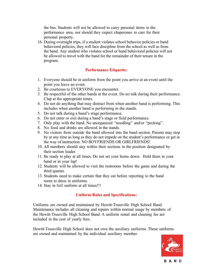the bus. Students will not be allowed to carry personal items to the performance area, nor should they expect chaperones to care for their personal property.

16. During overnight trips, if a student violates school behavior policies or band behavioral policies, they will face discipline from the school as well as from the band. Any student who violates school or band behavioral policies will not be allowed to travel with the band for the remainder of their tenure in the program.

#### **Performance Etiquette:**

- 1. Everyone should be in uniform from the point you arrive at an event until the point you leave an event.
- 2. Be courteous to EVERYONE you encounter.
- 3. Be respectful of the other bands at the event. Do no talk during their performance. Clap at the appropriate times.
- 4. Do not do anything that may distract from when another band is performing. This includes when another band is performing in the stands.
- 5. Do not talk during a band's stage performance.
- 6. Do not enter or exit during a band's stage or field performance.
- 7. Only play with the band. No unorganized "noodling" and/or "pecking".
- 8. No food and drinks are allowed in the stands.
- 9. No visitors from outside the band allowed into the band section. Parents may stop by at any time as long as they do not impede on the student's performance or get in the way of instruction. NO BOYFRIENDS OR GIRLFRIENDS!
- 10. All members should stay within their sections in the position designated by their section leader.
- 11. Be ready to play at all times. Do not set your horns down. Hold them in your hand or in your lap!
- 12. Students will be allowed to visit the restrooms before the game and during the third quarter.
- 13. Students need to make certain that they eat before reporting to the band room to dress in uniforms.
- 14. Stay in full uniform at all times!!!

# **Uniform Rules and Specifications:**

Uniforms are owned and maintained by Hewitt-Trussville High School Band. Maintenance includes all cleaning and repairs within normal usage by members of the Hewitt-Trussville High School Band. A uniform rental and cleaning fee are included in the cost of yearly fees.

Hewitt-Trussville High School does not own the auxiliary uniforms. Those uniforms are owned and maintained by the individual auxiliary member.

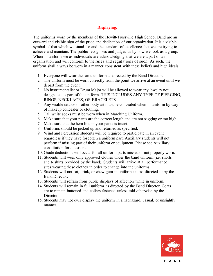# **Displaying:**

The uniforms worn by the members of the Hewitt-Trussville High School Band are an outward and visible sign of the pride and dedication of our organization. It is a visible symbol of that which we stand for and the standard of excellence that we are trying to achieve and maintain. The public recognizes and judges us by how we look as a group. When in uniform we as individuals are acknowledging that we are a part of an organization and will conform to the rules and regulations of such. As such, the uniform shall always be worn in a manner consistent with these beliefs and high ideals.

- 1. Everyone will wear the same uniform as directed by the Band Director.
- 2. The uniform must be worn correctly from the point we arrive at an event until we depart from the event.
- 3. No instrumentalist or Drum Major will be allowed to wear any jewelry not designated as part of the uniform. THIS INCLUDES ANY TYPE OF PIERCING, RINGS, NECKLACES, OR BRACELETS.
- 4. Any visible tattoos or other body art must be concealed when in uniform by way of makeup concealer or clothing.
- 5. Tall white socks must be worn when in Marching Uniform.
- 6. Make sure that your pants are the correct length and are not sagging or too high.
- 7. Make sure that the hem line in your pants is intact.
- 8. Uniforms should be picked up and returned as specified.
- 9. Wind and Percussion students will be required to participate in an event regardless if they have forgotten a uniform part. Auxiliary students will not perform if missing part of their uniform or equipment. Please see Auxiliary constitution for questions.
- 10. Grade deductions will occur for all uniform parts missed or not properly worn.
- 11. Students will wear only approved clothes under the band uniform (i.e. shorts and t- shirts provided by the band). Students will arrive at all performance sites wearing these clothes in order to change into the uniforms.
- 12. Students will not eat, drink, or chew gum in uniform unless directed to by the Band Director.
- 13. Students will refrain from public displays of affection while in uniform.
- 14. Students will remain in full uniform as directed by the Band Director. Coats are to remain buttoned and collars fastened unless told otherwise by the Director.
- 15. Students may not ever display the uniform in a haphazard, casual, or unsightly manner.

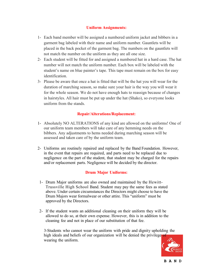# **Uniform Assignments:**

- 1- Each band member will be assigned a numbered uniform jacket and bibbers in a garment bag labeled with their name and uniform number. Gauntlets will be placed in the back pocket of the garment bag. The numbers on the gauntlets will not match the number on the uniform as they are all one size.
- 2- Each student will be fitted for and assigned a numbered hat in a hard case. The hat number will not match the uniform number. Each box will be labeled with the student's name on blue painter's tape. This tape must remain on the box for easy identification.
- 3- Please be aware that once a hat is fitted that will be the hat you will wear for the duration of marching season, so make sure your hair is the way you will wear it for the whole season. We do not have enough hats to reassign because of changes in hairstyles. All hair must be put up under the hat (Shako), so everyone looks uniform from the stands.

# **Repair/Alterations/Replacement:**

- 1- Absolutely NO ALTERATIONS of any kind are allowed on the uniforms! One of our uniform team members will take care of any hemming needs on the bibbers. Any adjustments to hems needed during marching season will be assessed and taken care of by the uniform team.
- 2- Uniforms are routinely repaired and replaced by the Band Foundation. However, in the event that repairs are required, and parts need to be replaced due to negligence on the part of the student, that student may be charged for the repairs and/or replacement parts. Negligence will be decided by the director.

# **Drum Major Uniforms:**

- 1- Drum Major uniforms are also owned and maintained by the Hewitt-Trussville High School Band. Student may pay the same fees as stated above. Under certain circumstances the Directors might choose to have the Drum Majors wear formalwear or other attire. This "uniform" must be approved by the Directors.
- 2- If the student wants an additional cleaning on their uniform they will be allowed to do so, at their own expense. However, this is in addition to the cleaning fee and not in place of our substitution of that fee.

3-Students who cannot wear the uniform with pride and dignity upholding the high ideals and beliefs of our organization will be denied the privilege of wearing the uniform.

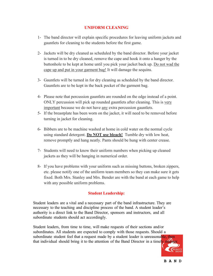# **UNIFORM CLEANING**

- 1- The band director will explain specific procedures for leaving uniform jackets and gauntlets for cleaning to the students before the first game.
- 2- Jackets will be dry cleaned as scheduled by the band director. Before your jacket is turned in to be dry cleaned, remove the cape and hook it onto a hanger by the buttonhole to be kept at home until you pick your jacket back up. Do not wad the cape up and put in your garment bag! It will damage the sequins.
- 3- Gauntlets will be turned in for dry cleaning as scheduled by the band director. Gauntlets are to be kept in the back pocket of the garment bag.
- 4- Please note that percussion gauntlets are rounded on the edge instead of a point. ONLY percussion will pick up rounded gauntlets after cleaning. This is very important because we do not have any extra percussion gauntlets.
- 5- If the breastplate has been worn on the jacket, it will need to be removed before turning in jacket for cleaning.
- 6- Bibbers are to be machine washed at home in cold water on the normal cycle using standard detergent. **Do NOT use bleach!** Tumble dry with low heat, remove promptly and hang neatly. Pants should be hung with center crease.
- 7- Students will need to know their uniform numbers when picking up cleaned jackets as they will be hanging in numerical order.
- 8- If you have problems with your uniform such as missing buttons, broken zippers, etc. please notify one of the uniform team members so they can make sure it gets fixed. Both Mrs. Stanley and Mrs. Bender are with the band at each game to help with any possible uniform problems.

# **Student Leadership:**

Student leaders are a vital and a necessary part of the band infrastructure. They are necessary to the teaching and discipline process of the band. A student leader's authority is a direct link to the Band Director, sponsors and instructors, and all subordinate students should act accordingly.

Student leaders, from time to time, will make requests of their sections and/or subordinates. All students are expected to comply with those requests. Should a subordinate student feel that a request made by a student leader is unreasonable, then that individual should bring it to the attention of the Band Director in a timely manner.

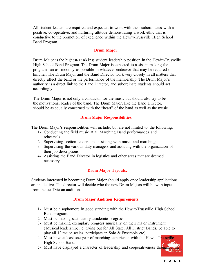All student leaders are required and expected to work with their subordinates with a positive, co-operative, and nurturing attitude demonstrating a work ethic that is conductive to the promotion of excellence within the Hewitt-Trussville High School Band Program.

# **Drum Major:**

Drum Major is the highest-ranking student leadership position in the Hewitt-Trussville High School Band Program. The Drum Major is expected to assist in making the program run as smoothly as possible in whatever endeavor that may be required of him/her. The Drum Major and the Band Director work very closely in all matters that directly affect the band or the performance of the membership. The Drum Major's authority is a direct link to the Band Director, and subordinate students should act accordingly.

The Drum Major is not only a conductor for the music but should also try to be the motivational leader of the band. The Drum Major, like the Band Director, should be as equally concerned with the "heart" of the band as well as the music.

# **Drum Major Responsibilities:**

The Drum Major's responsibilities will include, but are not limited to, the following:

- 1- Conducting the field music at all Marching Band performances and rehearsals.
- 2- Supervising section leaders and assisting with music and marching.
- 3- Supervising the various duty managers and assisting with the organization of their job descriptions.
- 4- Assisting the Band Director in logistics and other areas that are deemed necessary.

# **Drum Major Tryouts:**

Students interested in becoming Drum Major should apply once leadership applications are made live. The director will decide who the new Drum Majors will be with input from the staff via an audition.

# **Drum Major Audition Requirements:**

- 1- Must be a sophomore in good standing with the Hewitt-Trussville High School Band program.
- 2- Must be making satisfactory academic progress.
- 3- Must be making exemplary progress musically on their major instrument ( Musical leadership; i.e. trying out for All State, All District Bands, be able to play all 12 major scales, participate in Solo & Ensemble etc).
- 4- Must have at least one year of marching experience with the Hewitt-Trussville High School Band.
- 5- Must have displayed a character of leadership and cooperativeness throughout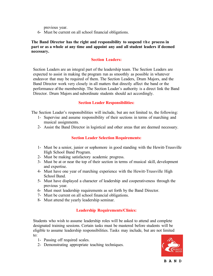previous year.

6- Must be current on all school financial obligations.

**The Band Director has the right and responsibility to suspend th e process in part or as a whole at any time and appoint any and all student leaders if deemed necessary.**

# **Section Leaders:**

Section Leaders are an integral part of the leadership team. The Section Leaders are expected to assist in making the program run as smoothly as possible in whatever endeavor that may be required of them. The Section Leaders, Drum Majors, and the Band Director work very closely in all matters that directly affect the band or the performance of the membership. The Section Leader's authority is a direct link the Band Director. Drum Majors and subordinate students should act accordingly.

# **Section Leader Responsibilities:**

The Section Leader's responsibilities will include, but are not limited to, the following:

- 1- Supervise and assume responsibility of their sections in terms of marching and musical assignments.
- 2- Assist the Band Director in logistical and other areas that are deemed necessary.

# **Section Leader Selection Requirements:**

- 1- Must be a senior, junior or sophomore in good standing with the Hewitt-Trussville High School Band Program.
- 2- Must be making satisfactory academic progress.
- 3- Must be at or near the top of their section in terms of musical skill, development and expertise.
- 4- Must have one year of marching experience with the Hewitt-Trussville High School Band.
- 5- Must have displayed a character of leadership and cooperativeness through the previous year.
- 6- Must meet leadership requirements as set forth by the Band Director.
- 7- Must be current on all school financial obligations.
- 8- Must attend the yearly leadership seminar.

# **Leadership Requirements/Clinics:**

Students who wish to assume leadership roles will be asked to attend and complete designated training sessions. Certain tasks must be mastered before students will be eligible to assume leadership responsibilities. Tasks may include, but are not limited to:

- 1- Passing off required scales.
- 2- Demonstrating appropriate teaching techniques.

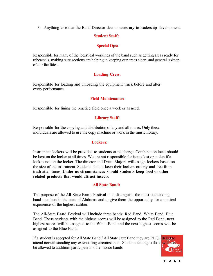3- Anything else that the Band Director deems necessary to leadership development.

#### **Student Staff:**

#### **Special Ops:**

Responsible for many of the logistical workings of the band such as getting areas ready for rehearsals, making sure sections are helping in keeping our areas clean, and general upkeep of our facilities.

#### **Loading Crew:**

Responsible for loading and unloading the equipment truck before and after every performance.

#### **Field Maintenance:**

Responsible for lining the practice field once a week or as need.

#### **Library Staff:**

Responsible for the copying and distribution of any and all music. Only these individuals are allowed to use the copy machine or work in the music library.

#### **Lockers:**

Instrument lockers will be provided to students at no charge. Combination locks should be kept on the locker at all times. We are not responsible for items lost or stolen if a lock is not on the locker. The director and Drum Majors will assign lockers based on the size of the instrument. Students should keep their lockers orderly and free from trash at all times. **Under no circumstances should students keep food or other related products that would attract insects.**

#### **All State Band:**

The purpose of the All-State Band Festival is to distinguish the most outstanding band members in the state of Alabama and to give them the opportunity for a musical experience of the highest caliber.

The All-State Band Festival will include three bands; Red Band, White Band, Blue Band. Those students with the highest scores will be assigned to the Red Band, next highest scores will be assigned to the White Band and the next highest scores will be assigned to the Blue Band.

If a student is accepted for All State Band / All State Jazz Band they are REQUIRED to attend notwithstanding any extenuating circumstance. Students failing to do so will not be allowed to audition/ participate in other honor bands.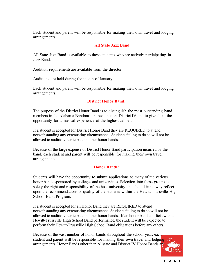Each student and parent will be responsible for making their own travel and lodging arrangements.

#### **All State Jazz Band:**

All-State Jazz Band is available to those students who are actively participating in Jazz Band.

Audition requirements are available from the director.

Auditions are held during the month of January.

Each student and parent will be responsible for making their own travel and lodging arrangements.

# **District Honor Band:**

The purpose of the District Honor Band is to distinguish the most outstanding band members in the Alabama Bandmasters Association, District IV and to give them the opportunity for a musical experience of the highest caliber.

If a student is accepted for District Honor Band they are REQUIRED to attend notwithstanding any extenuating circumstance. Students failing to do so will not be allowed to audition/ participate in other honor bands.

Because of the large expense of District Honor Band participation incurred by the band, each student and parent will be responsible for making their own travel arrangements.

#### **Honor Bands:**

Students will have the opportunity to submit applications to many of the various honor bands sponsored by colleges and universities. Selection into these groups is solely the right and responsibility of the host university and should in no way reflect upon the recommendations or quality of the students within the Hewitt-Trussville High School Band Program.

If a student is accepted for an Honor Band they are REQUIRED to attend notwithstanding any extenuating circumstance. Students failing to do so will not be allowed to audition/ participate in other honor bands. If an honor band conflicts with a Hewitt-Trussville High School Band performance, the student will be expected to perform their Hewitt-Trussville High School Band obligations before any others.

Because of the vast number of honor bands throughout the school year, each student and parent will be responsible for making their own travel and lodging arrangements. Honor Bands other than Allstate and District IV Honor Bands are

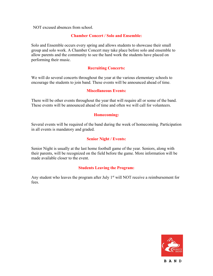NOT excused absences from school.

#### **Chamber Concert / Solo and Ensemble:**

Solo and Ensemble occurs every spring and allows students to showcase their small group and solo work. A Chamber Concert may take place before solo and ensemble to allow parents and the community to see the hard work the students have placed on performing their music.

# **Recruiting Concerts:**

We will do several concerts throughout the year at the various elementary schools to encourage the students to join band. These events will be announced ahead of time.

#### **Miscellaneous Events:**

There will be other events throughout the year that will require all or some of the band. These events will be announced ahead of time and often we will call for volunteers.

#### **Homecoming:**

Several events will be required of the band during the week of homecoming. Participation in all events is mandatory and graded.

#### **Senior Night / Events:**

Senior Night is usually at the last home football game of the year. Seniors, along with their parents, will be recognized on the field before the game. More information will be made available closer to the event.

#### **Students Leaving the Program:**

Any student who leaves the program after July  $1<sup>st</sup>$  will NOT receive a reimbursement for fees.